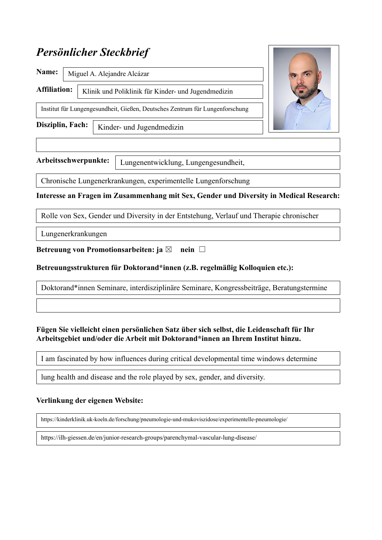# *Persönlicher Steckbrief*

| Name:               |                                                                              |  |
|---------------------|------------------------------------------------------------------------------|--|
| <b>Affiliation:</b> | Klinik und Poliklinik für Kinder- und Jugendmedizin                          |  |
|                     | Institut für Lungengesundheit, Gießen, Deutsches Zentrum für Lungenforschung |  |
| Disziplin, Fach:    | Kinder- und Jugendmedizin                                                    |  |

**Arbeitsschwerpunkte:** 

Lungenentwicklung, Lungengesundheit,

Chronische Lungenerkrankungen, experimentelle Lungenforschung

**Interesse an Fragen im Zusammenhang mit Sex, Gender und Diversity in Medical Research:**

Rolle von Sex, Gender und Diversity in der Entstehung, Verlauf und Therapie chronischer

Lungenerkrankungen

**Betreuung von Promotionsarbeiten: ja ⊠** nein □

#### **Betreuungsstrukturen für Doktorand\*innen (z.B. regelmäßig Kolloquien etc.):**

Doktorand\*innen Seminare, interdisziplinäre Seminare, Kongressbeiträge, Beratungstermine

#### **Fügen Sie vielleicht einen persönlichen Satz über sich selbst, die Leidenschaft für Ihr Arbeitsgebiet und/oder die Arbeit mit Doktorand\*innen an Ihrem Institut hinzu.**

I am fascinated by how influences during critical developmental time windows determine

lung health and disease and the role played by sex, gender, and diversity.

health and disease and the role played by sex, gender, and diversity.

#### **Verlinkung der eigenen Website:**

https://kinderklinik.uk-koeln.de/forschung/pneumologie-und-mukoviszidose/experimentelle-pneumologie/

https://ilh-giessen.de/en/junior-research-groups/parenchymal-vascular-lung-disease/